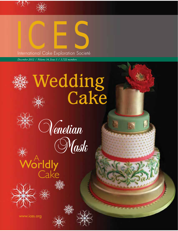



International Cake Exploration Societé

*December 2012 / Volume 34, Issue 3 / 3,722 members*

# Wedding Cake







www.ices.org

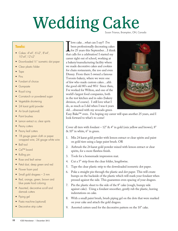## Wedding Cake Susan Trianos, Brampton, ON, Canada

#### **Tools:**

- Cakes:  $4" \times 4"$ , 6" $\times 2"$ , 8" $\times 4"$ ,  $10"$ x4", 12"x2"
- Downloaded 1/2" isometric dot paper
- Clear plastic folder
- $\bullet$  Tape
- $\bullet$  Pins
- Fondant of choice
- Gumpaste
- Royal icing
- Cornstarch or powdered sugar
- Vegetable shortening
- 24 karat gold powder
- Air brush (optional)
- Paint brushes
- Lemon extract or, clear spirits
- Peony cutters
- Peony leaf cutters
- 18 gauge green cloth or paper wrapped wire, 24 gauge white wire
- Ball tool
- $\bullet$  Cel<sup>TM</sup> board
- Rolling pin
- Rose and leaf veiner
- Petal dust, deep green and red
- Flower foam pad
- Small gold dragees  $-3$  mm
- Red, orange, green, brown and blue paste food coloring
- Assorted, decorative scroll and damask cutters
- Piping gel
- Pasta machine (optional)
- Decorative strip cutter

I love cake...what can I say?! I've<br>been professionally decorating cakes<br>for 25 years this September...I thin<br>that calls for a celebration! I started my been professionally decorating cakes  $\mathsf{L}$  for 25 years this September... I think career right out of school, working at a bakery/manufacturing facility where we made decorative cakes and cookies for chain restaurants, the zoo and even Disney. From there I owned a famous Toronto bakery, where we were one of few who made custom cakes…ahh the good old 80's and 90's! Since then, I've worked for Wilton, and one of the world's largest food companies, both in the test kitchen and in sales (bakery division, of course). I still love what I do, as much as I did when I was 6 years old…obsessed with my avocado green



Easy Bake™ oven. I'm hoping my career will span another 25 years, and I look forward to what's to come!

Cover all tiers with fondant  $-12$ " & 4" in gold (mix yellow and brown), 8" & 10" in white, 6" in green.

- 1. Mix 24 karat gold powder with lemon extract or clear spirits and paint on gold tiers using a large paint brush. OR
- 2. Airbrush the 24 karat gold powder mixed with lemon extract or clear spirits, for a more flawless finish.
- 3. Tools for a homemade impression mat.
- 4. Cut a 5" strip from the clear folder, lengthwise.
- 5. Tape the clear plastic strip to the downloaded isometric dot paper.
- 6. Poke a straight pin through the plastic and dot paper. This will create bumps on the backside of the plastic which will mark your fondant when pressed against the side. This guarantees even spacing of your dragees.
- 7. Pin the plastic sheet to the side of the 8" cake (rough, bumpy side against cake). Using a fondant smoother, gently rub the plastic, leaving indentations on cake.
- 8. With a small paint brush, brush piping gel on the dots that were marked on your cake and attach the gold dragees.
- 9. Assorted cutters used for the decorative pattern on the 10" cake.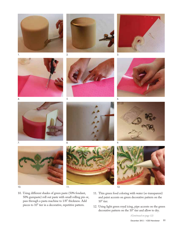



2.



3.





4.



















- 10. Using different shades of green paste (50% fondant, 50% gumpaste) roll out paste with small rolling pin or, pass through a pasta machine to 1/8" thickness. Add pieces to 10" tier in a decorative, repetitive pattern.  $10"$  tier.
	- 11. Thin green food coloring with water (so transparent) and paint accents on green decorative pattern on the
	- 12. Using light green royal icing, pipe accents on the green decorative pattern on the 10" tier and allow to dry.

December 2012 / ICES Newsletter **11** *(Continued on page 12)*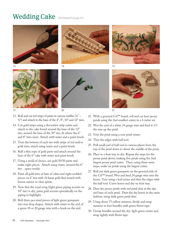### Wedding Cake *(Continued from page 11)*









19.



13.

- 13. Roll and cut red strips of paste in various widths (¼"  $\frac{1}{2}$ ") and attach to the base of the 4", 8", 10" and 12" tiers.
- 14. Cut gold strips using a decorative strip cutter and attach to the cake board around the base of the 12" tier, around the base of the 10" tier, & where the 6" and 8" tiers meet. Attach with water and a paint brush.
- 15. Trim the bottom of each tier with strips of red and/or gold trim, attach using water and a paint brush.
- 16. Roll a thin rope of gold paste and attach around the base of the 6" cake with water and paint brush.
- 17. Using a mold of choice, use gold 50/50 paste and make eight pieces. Attach using water, around the 6" tier…space evenly.
- 18. Paint all gold trim at base of cakes and eight molded pieces on 6" tier with 24 karat gold dust mixed with lemon extract or clear spirits.
- 19. Now that the royal icing (light green piping accents on 10" tier) is dry, paint gold accents sporadically on the piping to highlight.
- 20. Roll three pea sized pieces of light green gumpaste into tear drop shapes. Attach with water to the end of a green 18 or 20 gauge wire with a hook on the end.





- 21. With a grooved Cel™ board, roll and cut four peony petals using the 2nd smallest cutter in a 4 cutter set.
- 22. Wet the end of a white 24 gauge wire and feed it 1/3 the way up the petal.
- 23. Vein the petal using a rose petal veiner.
- 24. Thin the edges with ball tool.
- 25. Pull small end of ball tool in various places from the top of the petal down to about the middle of the petal.
- 26. Place in a fruit tray to dry. Repeat the steps for the peony petal above, making five petals using the 2nd largest peony petal cutter. Then, using these same steps, make six petals using the largest cutter.
- 27. Roll out dark green gumpaste on the grooved side of the Cel™ board. Wet and feed 24 gauge wire into the leaves. Vein using a leaf veiner and thin the edges with the ball tool. Curve leaves and dry on fruit tray.
- 28. Dust dry peony petals with red petal dust at the tips and base of each petal. Dust the dry leaves in the same fashion, using dark green petal dust.
- 29. Using about 75 yellow stamens, divide and wrap stamens in four bundles with green florist tape.
- 30. Group bundles around the dry, light green center and wrap tightly with florist tape.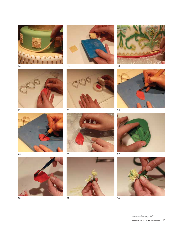



17.

















28.



26.



29.